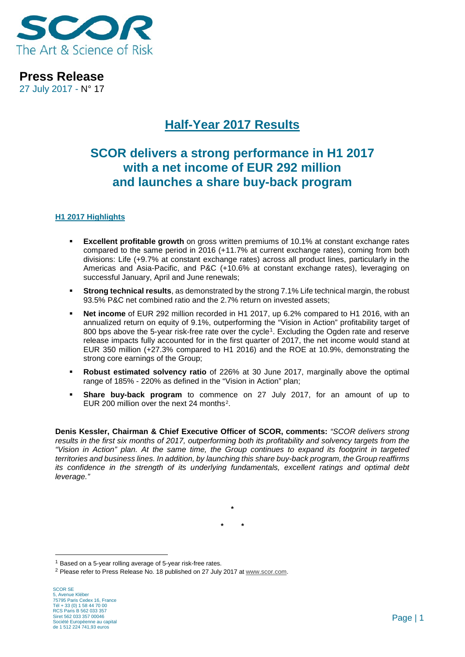

**Press Release** 27 July 2017 - N° 17

# **Half-Year 2017 Results**

# **SCOR delivers a strong performance in H1 2017 with a net income of EUR 292 million and launches a share buy-back program**

### **H1 2017 Highlights**

- **Excellent profitable growth** on gross written premiums of 10.1% at constant exchange rates compared to the same period in 2016 (+11.7% at current exchange rates), coming from both divisions: Life (+9.7% at constant exchange rates) across all product lines, particularly in the Americas and Asia-Pacific, and P&C (+10.6% at constant exchange rates), leveraging on successful January, April and June renewals;
- **Strong technical results**, as demonstrated by the strong 7.1% Life technical margin, the robust 93.5% P&C net combined ratio and the 2.7% return on invested assets;
- **Net income** of EUR 292 million recorded in H1 2017, up 6.2% compared to H1 2016, with an annualized return on equity of 9.1%, outperforming the "Vision in Action" profitability target of 800 bps above the 5-year risk-free rate over the cycle<sup>[1](#page-0-0)</sup>. Excluding the Ogden rate and reserve release impacts fully accounted for in the first quarter of 2017, the net income would stand at EUR 350 million (+27.3% compared to H1 2016) and the ROE at 10.9%, demonstrating the strong core earnings of the Group;
- **Robust estimated solvency ratio** of 226% at 30 June 2017, marginally above the optimal range of 185% - 220% as defined in the "Vision in Action" plan;
- **Share buy-back program** to commence on 27 July 2017, for an amount of up to EUR 200 million over the next 24 months[2](#page-0-1).

**Denis Kessler, Chairman & Chief Executive Officer of SCOR, comments:** *"SCOR delivers strong results in the first six months of 2017, outperforming both its profitability and solvency targets from the "Vision in Action" plan. At the same time, the Group continues to expand its footprint in targeted territories and business lines. In addition, by launching this share buy-back program, the Group reaffirms its confidence in the strength of its underlying fundamentals, excellent ratings and optimal debt leverage."*

> **\* \* \***

<span id="page-0-0"></span><sup>&</sup>lt;sup>1</sup> Based on a 5-year rolling average of 5-year risk-free rates.

<span id="page-0-1"></span><sup>&</sup>lt;sup>2</sup> Please refer to Press Release No. 18 published on 27 July 2017 at [www.scor.com.](http://www.scor.com/)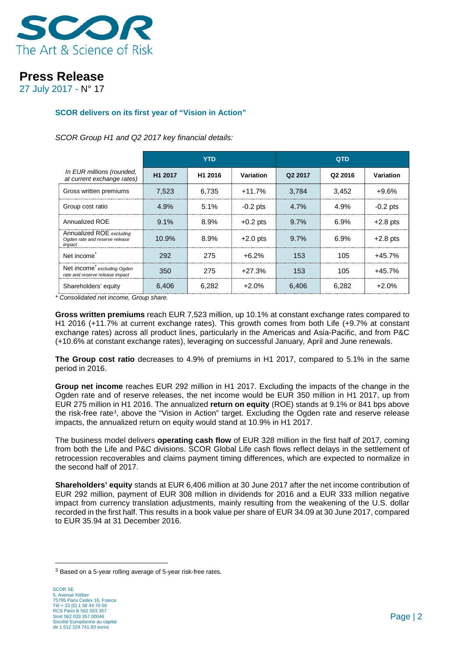

27 July 2017 - N° 17

### **SCOR delivers on its first year of "Vision in Action"**

*SCOR Group H1 and Q2 2017 key financial details:*

|                                                                      | YTD                 |         |            | <b>QTD</b> |                     |            |
|----------------------------------------------------------------------|---------------------|---------|------------|------------|---------------------|------------|
| In EUR millions (rounded,<br>at current exchange rates)              | H <sub>1</sub> 2017 | H1 2016 | Variation  | Q2 2017    | Q <sub>2</sub> 2016 | Variation  |
| Gross written premiums                                               | 7.523               | 6,735   | $+11.7%$   | 3.784      | 3,452               | $+9.6%$    |
| Group cost ratio                                                     | 4.9%                | 5.1%    | $-0.2$ pts | $4.7\%$    | 4.9%                | $-0.2$ pts |
| Annualized ROE                                                       | $9.1\%$             | 8.9%    | $+0.2$ pts | $9.7\%$    | $6.9\%$             | $+2.8$ pts |
| Annualized ROE excluding<br>Ogden rate and reserve release<br>impact | 10.9%               | 8.9%    | $+2.0$ pts | 9.7%       | 6.9%                | $+2.8$ pts |
| Net income <sup>®</sup>                                              | 292                 | 275     | $+6.2%$    | 153        | 105                 | $+45.7%$   |
| Net income excluding Ogden<br>rate and reserve release impact        | 350                 | 275     | $+27.3%$   | 153        | 105                 | $+45.7%$   |
| Shareholders' equity                                                 | 6.406               | 6.282   | $+2.0%$    | 6.406      | 6.282               | $+2.0%$    |

*\* Consolidated net income, Group share.*

**Gross written premiums** reach EUR 7,523 million, up 10.1% at constant exchange rates compared to H1 2016 (+11.7% at current exchange rates). This growth comes from both Life (+9.7% at constant exchange rates) across all product lines, particularly in the Americas and Asia-Pacific, and from P&C (+10.6% at constant exchange rates), leveraging on successful January, April and June renewals.

**The Group cost ratio** decreases to 4.9% of premiums in H1 2017, compared to 5.1% in the same period in 2016.

**Group net income** reaches EUR 292 million in H1 2017. Excluding the impacts of the change in the Ogden rate and of reserve releases, the net income would be EUR 350 million in H1 2017, up from EUR 275 million in H1 2016. The annualized **return on equity** (ROE) stands at 9.1% or 841 bps above the risk-free rate<sup>[3](#page-1-0)</sup>, above the "Vision in Action" target. Excluding the Ogden rate and reserve release impacts, the annualized return on equity would stand at 10.9% in H1 2017.

The business model delivers **operating cash flow** of EUR 328 million in the first half of 2017, coming from both the Life and P&C divisions. SCOR Global Life cash flows reflect delays in the settlement of retrocession recoverables and claims payment timing differences, which are expected to normalize in the second half of 2017.

**Shareholders' equity** stands at EUR 6,406 million at 30 June 2017 after the net income contribution of EUR 292 million, payment of EUR 308 million in dividends for 2016 and a EUR 333 million negative impact from currency translation adjustments, mainly resulting from the weakening of the U.S. dollar recorded in the first half. This results in a book value per share of EUR 34.09 at 30 June 2017, compared to EUR 35.94 at 31 December 2016.

<span id="page-1-0"></span><sup>3</sup> Based on a 5-year rolling average of 5-year risk-free rates.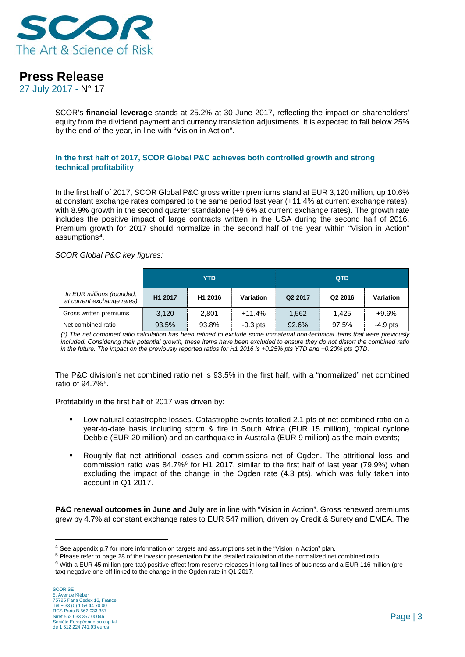

27 July 2017 - N° 17

SCOR's **financial leverage** stands at 25.2% at 30 June 2017, reflecting the impact on shareholders' equity from the dividend payment and currency translation adjustments. It is expected to fall below 25% by the end of the year, in line with "Vision in Action".

#### **In the first half of 2017, SCOR Global P&C achieves both controlled growth and strong technical profitability**

In the first half of 2017, SCOR Global P&C gross written premiums stand at EUR 3,120 million, up 10.6% at constant exchange rates compared to the same period last year (+11.4% at current exchange rates), with 8.9% growth in the second quarter standalone (+9.6% at current exchange rates). The growth rate includes the positive impact of large contracts written in the USA during the second half of 2016. Premium growth for 2017 should normalize in the second half of the year within "Vision in Action" assumptions[4](#page-2-0).

#### *SCOR Global P&C key figures:*

|                                                         | YTD                 |                     |            |         | <b>QTD</b>          |            |
|---------------------------------------------------------|---------------------|---------------------|------------|---------|---------------------|------------|
| In EUR millions (rounded,<br>at current exchange rates) | H <sub>1</sub> 2017 | H <sub>1</sub> 2016 | Variation  | Q2 2017 | Q <sub>2</sub> 2016 | Variation  |
| Gross written premiums                                  | 3,120               | 2,801               | $+11.4%$   | 1,562   | 1.425               | $+9.6%$    |
| Net combined ratio                                      | 93.5%               | 93.8%               | $-0.3$ pts | 92.6%   | 97.5%               | $-4.9$ pts |

*(\*) The net combined ratio calculation has been refined to exclude some immaterial non-technical items that were previously included. Considering their potential growth, these items have been excluded to ensure they do not distort the combined ratio in the future. The impact on the previously reported ratios for H1 2016 is +0.25% pts YTD and +0.20% pts QTD.*

The P&C division's net combined ratio net is 93.5% in the first half, with a "normalized" net combined ratio of 94.7%[5](#page-2-1).

Profitability in the first half of 2017 was driven by:

- Low natural catastrophe losses. Catastrophe events totalled 2.1 pts of net combined ratio on a year-to-date basis including storm & fire in South Africa (EUR 15 million), tropical cyclone Debbie (EUR 20 million) and an earthquake in Australia (EUR 9 million) as the main events;
- Roughly flat net attritional losses and commissions net of Ogden. The attritional loss and commission ratio was 84.7%[6](#page-2-2) for H1 2017, similar to the first half of last year (79.9%) when excluding the impact of the change in the Ogden rate (4.3 pts), which was fully taken into account in Q1 2017.

**P&C renewal outcomes in June and July** are in line with "Vision in Action". Gross renewed premiums grew by 4.7% at constant exchange rates to EUR 547 million, driven by Credit & Surety and EMEA. The

<span id="page-2-0"></span><sup>4</sup> See appendix p.7 for more information on targets and assumptions set in the "Vision in Action" plan.

<span id="page-2-1"></span><sup>5</sup> Please refer to page 28 of the investor presentation for the detailed calculation of the normalized net combined ratio.

<span id="page-2-2"></span> $6$  With a EUR 45 million (pre-tax) positive effect from reserve releases in long-tail lines of business and a EUR 116 million (pretax) negative one-off linked to the change in the Ogden rate in Q1 2017.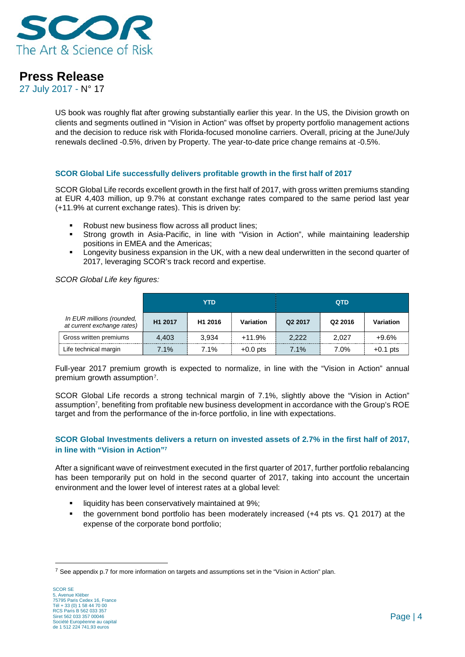

27 July 2017 - N° 17

US book was roughly flat after growing substantially earlier this year. In the US, the Division growth on clients and segments outlined in "Vision in Action" was offset by property portfolio management actions and the decision to reduce risk with Florida-focused monoline carriers. Overall, pricing at the June/July renewals declined -0.5%, driven by Property. The year-to-date price change remains at -0.5%.

#### **SCOR Global Life successfully delivers profitable growth in the first half of 2017**

SCOR Global Life records excellent growth in the first half of 2017, with gross written premiums standing at EUR 4,403 million, up 9.7% at constant exchange rates compared to the same period last year (+11.9% at current exchange rates). This is driven by:

- Robust new business flow across all product lines;
- Strong growth in Asia-Pacific, in line with "Vision in Action", while maintaining leadership positions in EMEA and the Americas;
- Longevity business expansion in the UK, with a new deal underwritten in the second quarter of 2017, leveraging SCOR's track record and expertise.

*SCOR Global Life key figures:* 

|                                                         | <b>YTD</b>          |                     |            |         | <b>QTD</b>          |            |
|---------------------------------------------------------|---------------------|---------------------|------------|---------|---------------------|------------|
| In EUR millions (rounded,<br>at current exchange rates) | H <sub>1</sub> 2017 | H <sub>1</sub> 2016 | Variation  | Q2 2017 | Q <sub>2</sub> 2016 | Variation  |
| Gross written premiums                                  | 4.403               | 3.934               | $+11.9%$   | 2.222   | 2.027               | $+9.6%$    |
| Life technical margin                                   | $7.1\%$             | 7.1%                | $+0.0$ pts | $7.1\%$ | 7.0%                | $+0.1$ pts |

Full-year 2017 premium growth is expected to normalize, in line with the "Vision in Action" annual premium growth assumption<sup>[7](#page-3-0)</sup>.

SCOR Global Life records a strong technical margin of 7.1%, slightly above the "Vision in Action" assumption7, benefiting from profitable new business development in accordance with the Group's ROE target and from the performance of the in-force portfolio, in line with expectations.

#### **SCOR Global Investments delivers a return on invested assets of 2.7% in the first half of 2017, in line with "Vision in Action"7**

After a significant wave of reinvestment executed in the first quarter of 2017, further portfolio rebalancing has been temporarily put on hold in the second quarter of 2017, taking into account the uncertain environment and the lower level of interest rates at a global level:

- liquidity has been conservatively maintained at 9%;
- the government bond portfolio has been moderately increased (+4 pts vs. Q1 2017) at the expense of the corporate bond portfolio;

<span id="page-3-0"></span> $<sup>7</sup>$  See appendix p.7 for more information on targets and assumptions set in the "Vision in Action" plan.</sup>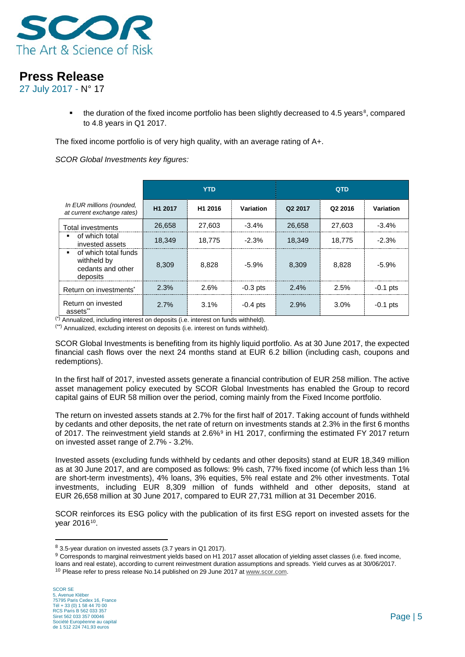

27 July 2017 - N° 17

 $\blacksquare$  the duration of the fixed income portfolio has been slightly decreased to 4.5 years<sup>8</sup>, compared to 4.8 years in Q1 2017.

The fixed income portfolio is of very high quality, with an average rating of A+.

*SCOR Global Investments key figures:*

|                                                                      | <b>YTD</b> |                     |            | <b>QTD</b> |                     |            |
|----------------------------------------------------------------------|------------|---------------------|------------|------------|---------------------|------------|
| In EUR millions (rounded,<br>at current exchange rates)              | H1 2017    | H <sub>1</sub> 2016 | Variation  | Q2 2017    | Q <sub>2</sub> 2016 | Variation  |
| <b>Total investments</b>                                             | 26,658     | 27.603              | $-3.4\%$   | 26.658     | 27,603              | $-3.4\%$   |
| of which total<br>invested assets                                    | 18,349     | 18.775              | $-2.3%$    | 18.349     | 18,775              | $-2.3%$    |
| of which total funds<br>withheld by<br>cedants and other<br>deposits | 8,309      | 8.828               | $-5.9%$    | 8.309      | 8.828               | $-5.9%$    |
| Return on investments <sup>*</sup>                                   | 2.3%       | 2.6%                | $-0.3$ pts | $2.4\%$    | 2.5%                | $-0.1$ pts |
| Return on invested<br>assets"                                        | 2.7%       | 3.1%                | $-0.4$ pts | 2.9%       | 3.0%                | $-0.1$ pts |

(\*) Annualized, including interest on deposits (i.e. interest on funds withheld).

(\*\*) Annualized, excluding interest on deposits (i.e. interest on funds withheld).

SCOR Global Investments is benefiting from its highly liquid portfolio. As at 30 June 2017, the expected financial cash flows over the next 24 months stand at EUR 6.2 billion (including cash, coupons and redemptions).

In the first half of 2017, invested assets generate a financial contribution of EUR 258 million. The active asset management policy executed by SCOR Global Investments has enabled the Group to record capital gains of EUR 58 million over the period, coming mainly from the Fixed Income portfolio.

The return on invested assets stands at 2.7% for the first half of 2017. Taking account of funds withheld by cedants and other deposits, the net rate of return on investments stands at 2.3% in the first 6 months of 2017. The reinvestment yield stands at 2.6%[9](#page-4-1) in H1 2017, confirming the estimated FY 2017 return on invested asset range of 2.7% - 3.2%.

Invested assets (excluding funds withheld by cedants and other deposits) stand at EUR 18,349 million as at 30 June 2017, and are composed as follows: 9% cash, 77% fixed income (of which less than 1% are short-term investments), 4% loans, 3% equities, 5% real estate and 2% other investments. Total investments, including EUR 8,309 million of funds withheld and other deposits, stand at EUR 26,658 million at 30 June 2017, compared to EUR 27,731 million at 31 December 2016.

SCOR reinforces its ESG policy with the publication of its first ESG report on invested assets for the year 2016[10.](#page-4-2)

<span id="page-4-0"></span><sup>8</sup> 3.5-year duration on invested assets (3.7 years in Q1 2017).

<span id="page-4-1"></span><sup>9</sup> Corresponds to marginal reinvestment yields based on H1 2017 asset allocation of yielding asset classes (i.e. fixed income, loans and real estate), according to current reinvestment duration assumptions and spreads. Yield curves as at 30/06/2017.

<span id="page-4-2"></span><sup>&</sup>lt;sup>10</sup> Please refer to press release No.14 published on 29 June 2017 a[t www.scor.com.](http://www.scor.com/)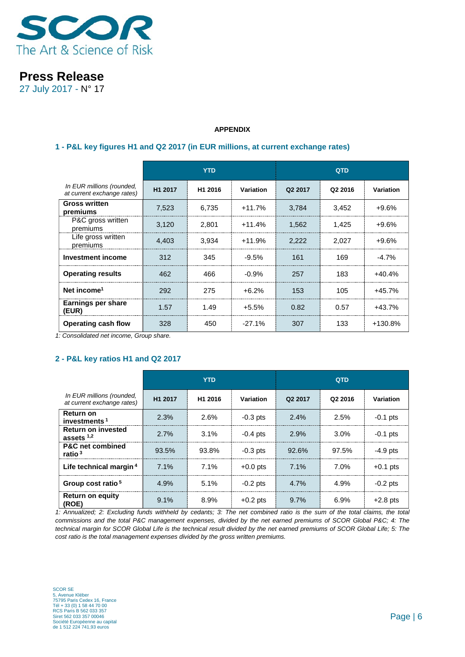

27 July 2017 - N° 17

#### **APPENDIX**

#### **1 - P&L key figures H1 and Q2 2017 (in EUR millions, at current exchange rates)**

|                                                         | <b>YTD</b>          |                     |           | <b>QTD</b> |         |                  |
|---------------------------------------------------------|---------------------|---------------------|-----------|------------|---------|------------------|
| In EUR millions (rounded,<br>at current exchange rates) | H <sub>1</sub> 2017 | H <sub>1</sub> 2016 | Variation | Q2 2017    | Q2 2016 | <b>Variation</b> |
| <b>Gross written</b><br>premiums                        | 7,523               | 6,735               | $+11.7%$  | 3,784      | 3,452   | $+9.6%$          |
| P&C gross written<br>premiums                           | 3,120               | 2,801               | $+11.4%$  | 1,562      | 1,425   | $+9.6%$          |
| Life gross written<br>premiums                          | 4,403               | 3,934               | $+11.9%$  | 2,222      | 2,027   | $+9.6%$          |
| <b>Investment income</b>                                | 312                 | 345                 | $-9.5\%$  | 161        | 169     | $-4.7\%$         |
| <b>Operating results</b>                                | 462                 | 466                 | $-0.9%$   | 257        | 183     | $+40.4%$         |
| Net income <sup>1</sup>                                 | 292                 | 275                 | $+6.2%$   | 153        | 105     | $+45.7%$         |
| Earnings per share<br>(EUR)                             | 1.57                | 1.49                | $+5.5%$   | 0.82       | 0.57    | $+43.7%$         |
| <b>Operating cash flow</b>                              | 328                 | 450                 | $-27.1%$  | 307        | 133     | +130.8%          |

*1: Consolidated net income, Group share.*

### **2 - P&L key ratios H1 and Q2 2017**

|                                                         | <b>YTD</b> |                     |            | <b>QTD</b> |         |            |
|---------------------------------------------------------|------------|---------------------|------------|------------|---------|------------|
| In EUR millions (rounded,<br>at current exchange rates) | H1 2017    | H <sub>1</sub> 2016 | Variation  | Q2 2017    | Q2 2016 | Variation  |
| <b>Return on</b><br>investments <sup>1</sup>            | 2.3%       | 2.6%                | $-0.3$ pts | 2.4%       | 2.5%    | $-0.1$ pts |
| <b>Return on invested</b><br>assets $1,2$               | 2.7%       | 3.1%                | $-0.4$ pts | 2.9%       | $3.0\%$ | $-0.1$ pts |
| <b>P&amp;C</b> net combined<br>ratio $3$                | 93.5%      | 93.8%               | $-0.3$ pts | 92.6%      | 97.5%   | $-4.9$ pts |
| Life technical margin <sup>4</sup>                      | 7.1%       | 7.1%                | $+0.0$ pts | 7.1%       | 7.0%    | $+0.1$ pts |
| Group cost ratio <sup>5</sup>                           | 4.9%       | 5.1%                | $-0.2$ pts | 4.7%       | 4.9%    | $-0.2$ pts |
| <b>Return on equity</b><br>(ROE)                        | 9.1%       | 8.9%                | $+0.2$ pts | 9.7%       | 6.9%    | $+2.8$ pts |

*1: Annualized; 2: Excluding funds withheld by cedants; 3: The net combined ratio is the sum of the total claims, the total commissions and the total P&C management expenses, divided by the net earned premiums of SCOR Global P&C; 4: The*  technical margin for SCOR Global Life is the technical result divided by the net earned premiums of SCOR Global Life; 5: The *cost ratio is the total management expenses divided by the gross written premiums.*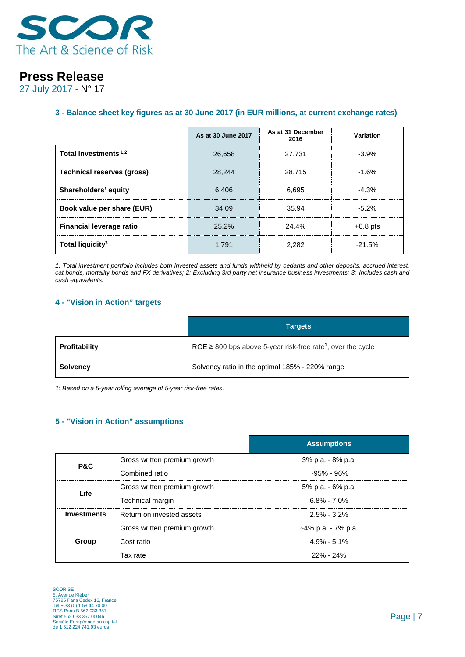

27 July 2017 - N° 17

### **3 - Balance sheet key figures as at 30 June 2017 (in EUR millions, at current exchange rates)**

|                                   | As at 30 June 2017 | As at 31 December<br>2016 | Variation  |
|-----------------------------------|--------------------|---------------------------|------------|
| Total investments <sup>1,2</sup>  | 26,658             | 27.731                    | $-3.9\%$   |
| <b>Technical reserves (gross)</b> | 28.244             | 28.715                    | $-1.6%$    |
| Shareholders' equity              | 6.406              | 6.695                     | $-4.3%$    |
| Book value per share (EUR)        | 34.09              | 35.94                     | $-5.2\%$   |
| <b>Financial leverage ratio</b>   | $25.2\%$           | 24.4%                     | $+0.8$ pts |
| Total liquidity <sup>3</sup>      | 1.791              | 2.282                     | $-21.5\%$  |

*1: Total investment portfolio includes both invested assets and funds withheld by cedants and other deposits, accrued interest, cat bonds, mortality bonds and FX derivatives; 2: Excluding 3rd party net insurance business investments; 3: Includes cash and cash equivalents.*

#### **4 - "Vision in Action" targets**

|                 | <b>Targets</b>                                                               |
|-----------------|------------------------------------------------------------------------------|
| Profitability   | ROE $\geq$ 800 bps above 5-year risk-free rate <sup>1</sup> , over the cycle |
| <b>Solvency</b> | Solvency ratio in the optimal 185% - 220% range                              |

*1*: *Based on a 5-year rolling average of 5-year risk-free rates.*

#### **5 - "Vision in Action" assumptions**

|                    |                              | <b>Assumptions</b> |
|--------------------|------------------------------|--------------------|
| P&C                | Gross written premium growth | 3% p.a. - 8% p.a.  |
|                    | Combined ratio               | ~95% - 96%         |
| Life               | Gross written premium growth | 5% p.a. - 6% p.a.  |
|                    | Technical margin             | $6.8\% - 7.0\%$    |
| <b>Investments</b> | Return on invested assets    | $2.5\% - 3.2\%$    |
|                    | Gross written premium growth | ~4% p.a. - 7% p.a. |
| Group              | Cost ratio                   | $4.9\% - 5.1\%$    |
|                    | Tax rate                     | $22\%$ - $24\%$    |